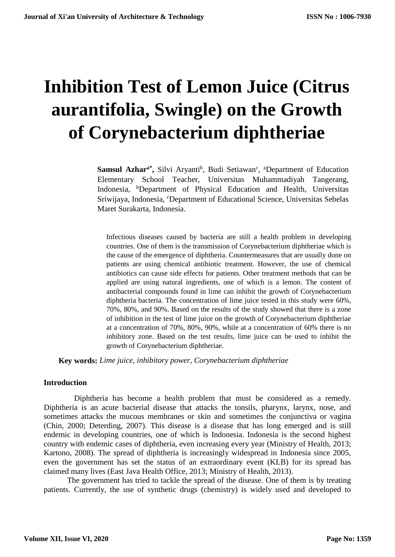# **Inhibition Test of Lemon Juice (Citrus aurantifolia, Swingle) on the Growth of Corynebacterium diphtheriae**

Samsul Azhar<sup>a\*</sup>, Silvi Aryanti<sup>b</sup>, Budi Setiawan<sup>c</sup>, <sup>a</sup>Department of Education Elementary School Teacher, Universitas Muhammadiyah Tangerang, Indonesia, <sup>b</sup>Department of Physical Education and Health, Universitas Sriwijaya, Indonesia, <sup>c</sup>Department of Educational Science, Universitas Sebelas Maret Surakarta, Indonesia.

Infectious diseases caused by bacteria are still a health problem in developing countries. One of them is the transmission of Corynebacterium diphtheriae which is the cause of the emergence of diphtheria. Countermeasures that are usually done on patients are using chemical antibiotic treatment. However, the use of chemical antibiotics can cause side effects for patients. Other treatment methods that can be applied are using natural ingredients, one of which is a lemon. The content of antibacterial compounds found in lime can inhibit the growth of Corynebacterium diphtheria bacteria. The concentration of lime juice tested in this study were 60%, 70%, 80%, and 90%. Based on the results of the study showed that there is a zone of inhibition in the test of lime juice on the growth of Corynebacterium diphtheriae at a concentration of 70%, 80%, 90%, while at a concentration of 60% there is no inhibitory zone. Based on the test results, lime juice can be used to inhibit the growth of Corynebacterium diphtheriae.

**Key words:** *Lime juice, inhibitory power, Corynebacterium diphtheriae*

## **Introduction**

Diphtheria has become a health problem that must be considered as a remedy. Diphtheria is an acute bacterial disease that attacks the tonsils, pharynx, larynx, nose, and sometimes attacks the mucous membranes or skin and sometimes the conjunctiva or vagina (Chin, 2000; Deterding, 2007). This disease is a disease that has long emerged and is still endemic in developing countries, one of which is Indonesia. Indonesia is the second highest country with endemic cases of diphtheria, even increasing every year (Ministry of Health, 2013; Kartono, 2008). The spread of diphtheria is increasingly widespread in Indonesia since 2005, even the government has set the status of an extraordinary event (KLB) for its spread has claimed many lives (East Java Health Office, 2013; Ministry of Health, 2013).

The government has tried to tackle the spread of the disease. One of them is by treating patients. Currently, the use of synthetic drugs (chemistry) is widely used and developed to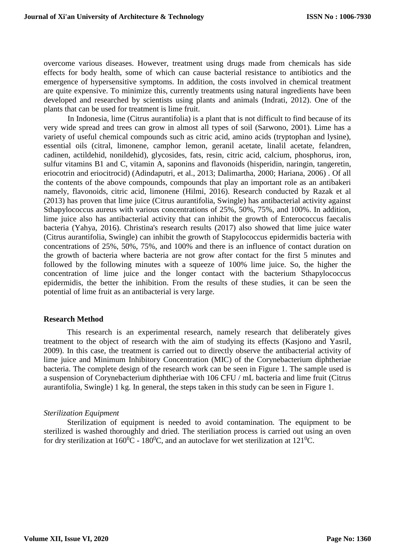overcome various diseases. However, treatment using drugs made from chemicals has side effects for body health, some of which can cause bacterial resistance to antibiotics and the emergence of hypersensitive symptoms. In addition, the costs involved in chemical treatment are quite expensive. To minimize this, currently treatments using natural ingredients have been developed and researched by scientists using plants and animals (Indrati, 2012). One of the plants that can be used for treatment is lime fruit.

In Indonesia, lime (Citrus aurantifolia) is a plant that is not difficult to find because of its very wide spread and trees can grow in almost all types of soil (Sarwono, 2001). Lime has a variety of useful chemical compounds such as citric acid, amino acids (tryptophan and lysine), essential oils (citral, limonene, camphor lemon, geranil acetate, linalil acetate, felandren, cadinen, actildehid, nonildehid), glycosides, fats, resin, citric acid, calcium, phosphorus, iron, sulfur vitamins B1 and C, vitamin A, saponins and flavonoids (hisperidin, naringin, tangeretin, eriocotrin and eriocitrocid) (Adindaputri, et al., 2013; Dalimartha, 2000; Hariana, 2006) . Of all the contents of the above compounds, compounds that play an important role as an antibakeri namely, flavonoids, citric acid, limonene (Hilmi, 2016). Research conducted by Razak et al (2013) has proven that lime juice (Citrus aurantifolia, Swingle) has antibacterial activity against Sthapylococcus aureus with various concentrations of 25%, 50%, 75%, and 100%. In addition, lime juice also has antibacterial activity that can inhibit the growth of Enterococcus faecalis bacteria (Yahya, 2016). Christina's research results (2017) also showed that lime juice water (Citrus aurantifolia, Swingle) can inhibit the growth of Stapylococcus epidermidis bacteria with concentrations of 25%, 50%, 75%, and 100% and there is an influence of contact duration on the growth of bacteria where bacteria are not grow after contact for the first 5 minutes and followed by the following minutes with a squeeze of 100% lime juice. So, the higher the concentration of lime juice and the longer contact with the bacterium Sthapylococcus epidermidis, the better the inhibition. From the results of these studies, it can be seen the potential of lime fruit as an antibacterial is very large.

#### **Research Method**

This research is an experimental research, namely research that deliberately gives treatment to the object of research with the aim of studying its effects (Kasjono and Yasril, 2009). In this case, the treatment is carried out to directly observe the antibacterial activity of lime juice and Minimum Inhibitory Concentration (MIC) of the Corynebacterium diphtheriae bacteria. The complete design of the research work can be seen in Figure 1. The sample used is a suspension of Corynebacterium diphtheriae with 106 CFU / mL bacteria and lime fruit (Citrus aurantifolia, Swingle) 1 kg. In general, the steps taken in this study can be seen in Figure 1.

#### *Sterilization Equipment*

Sterilization of equipment is needed to avoid contamination. The equipment to be sterilized is washed thoroughly and dried. The steriliation process is carried out using an oven for dry sterilization at  $160^{\circ}$ C -  $180^{\circ}$ C, and an autoclave for wet sterilization at  $121^{\circ}$ C.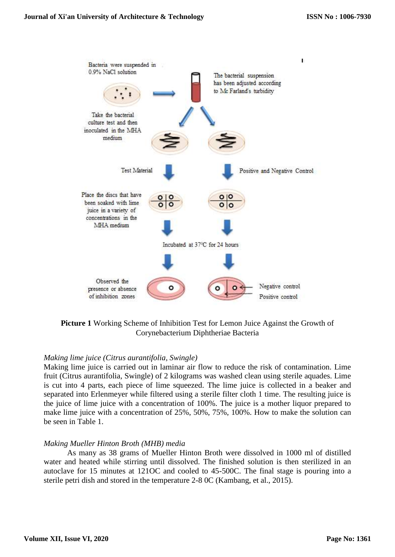

**Picture 1** Working Scheme of Inhibition Test for Lemon Juice Against the Growth of Corynebacterium Diphtheriae Bacteria

## *Making lime juice (Citrus aurantifolia, Swingle)*

Making lime juice is carried out in laminar air flow to reduce the risk of contamination. Lime fruit (Citrus aurantifolia, Swingle) of 2 kilograms was washed clean using sterile aquades. Lime is cut into 4 parts, each piece of lime squeezed. The lime juice is collected in a beaker and separated into Erlenmeyer while filtered using a sterile filter cloth 1 time. The resulting juice is the juice of lime juice with a concentration of 100%. The juice is a mother liquor prepared to make lime juice with a concentration of 25%, 50%, 75%, 100%. How to make the solution can be seen in Table 1.

## *Making Mueller Hinton Broth (MHB) media*

As many as 38 grams of Mueller Hinton Broth were dissolved in 1000 ml of distilled water and heated while stirring until dissolved. The finished solution is then sterilized in an autoclave for 15 minutes at 121OC and cooled to 45-500C. The final stage is pouring into a sterile petri dish and stored in the temperature 2-8 0C (Kambang, et al., 2015).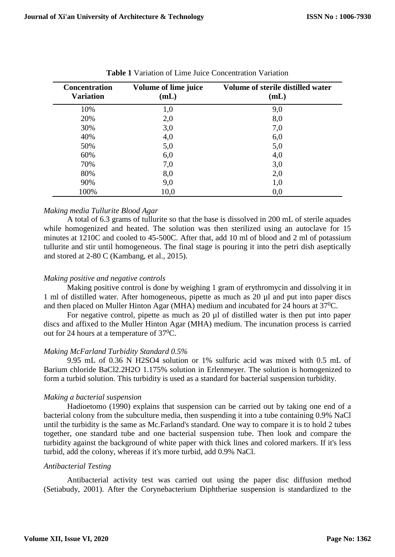| <b>Concentration</b><br><b>Variation</b> | <b>Volume of lime juice</b><br>(mL) | Volume of sterile distilled water<br>(mL) |
|------------------------------------------|-------------------------------------|-------------------------------------------|
| 10%                                      | 1,0                                 | 9,0                                       |
| 20%                                      | 2,0                                 | 8,0                                       |
| 30%                                      | 3,0                                 | 7,0                                       |
| 40%                                      | 4,0                                 | 6,0                                       |
| 50%                                      | 5,0                                 | 5,0                                       |
| 60%                                      | 6,0                                 | 4,0                                       |
| 70%                                      | 7,0                                 | 3,0                                       |
| 80%                                      | 8,0                                 | 2,0                                       |
| 90%                                      | 9,0                                 | 1,0                                       |
| 100%                                     | 10,0                                | 0,0                                       |

**Table 1** Variation of Lime Juice Concentration Variation

## *Making media Tullurite Blood Agar*

A total of 6.3 grams of tullurite so that the base is dissolved in 200 mL of sterile aquades while homogenized and heated. The solution was then sterilized using an autoclave for 15 minutes at 1210C and cooled to 45-500C. After that, add 10 ml of blood and 2 ml of potassium tullurite and stir until homogeneous. The final stage is pouring it into the petri dish aseptically and stored at 2-80 C (Kambang, et al., 2015).

## *Making positive and negative controls*

Making positive control is done by weighing 1 gram of erythromycin and dissolving it in 1 ml of distilled water. After homogeneous, pipette as much as 20 µl and put into paper discs and then placed on Muller Hinton Agar (MHA) medium and incubated for 24 hours at  $37^0C$ .

For negative control, pipette as much as 20 µl of distilled water is then put into paper discs and affixed to the Muller Hinton Agar (MHA) medium. The incunation process is carried out for 24 hours at a temperature of 37<sup>0</sup>C.

## *Making McFarland Turbidity Standard 0.5%*

9.95 mL of 0.36 N H2SO4 solution or 1% sulfuric acid was mixed with 0.5 mL of Barium chloride BaCl2.2H2O 1.175% solution in Erlenmeyer. The solution is homogenized to form a turbid solution. This turbidity is used as a standard for bacterial suspension turbidity.

## *Making a bacterial suspension*

Hadioetomo (1990) explains that suspension can be carried out by taking one end of a bacterial colony from the subculture media, then suspending it into a tube containing 0.9% NaCl until the turbidity is the same as Mc.Farland's standard. One way to compare it is to hold 2 tubes together, one standard tube and one bacterial suspension tube. Then look and compare the turbidity against the background of white paper with thick lines and colored markers. If it's less turbid, add the colony, whereas if it's more turbid, add 0.9% NaCl.

## *Antibacterial Testing*

Antibacterial activity test was carried out using the paper disc diffusion method (Setiabudy, 2001). After the Corynebacterium Diphtheriae suspension is standardized to the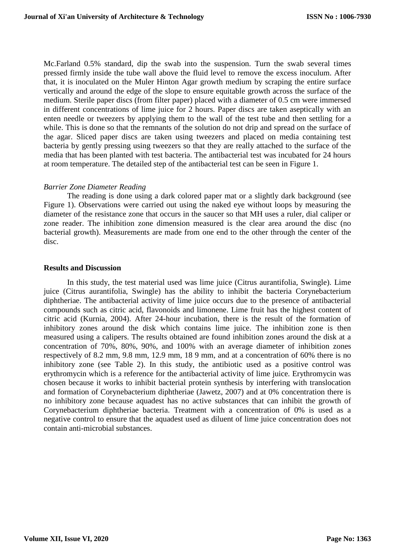Mc.Farland 0.5% standard, dip the swab into the suspension. Turn the swab several times pressed firmly inside the tube wall above the fluid level to remove the excess inoculum. After that, it is inoculated on the Muler Hinton Agar growth medium by scraping the entire surface vertically and around the edge of the slope to ensure equitable growth across the surface of the medium. Sterile paper discs (from filter paper) placed with a diameter of 0.5 cm were immersed in different concentrations of lime juice for 2 hours. Paper discs are taken aseptically with an enten needle or tweezers by applying them to the wall of the test tube and then settling for a while. This is done so that the remnants of the solution do not drip and spread on the surface of the agar. Sliced paper discs are taken using tweezers and placed on media containing test bacteria by gently pressing using tweezers so that they are really attached to the surface of the media that has been planted with test bacteria. The antibacterial test was incubated for 24 hours at room temperature. The detailed step of the antibacterial test can be seen in Figure 1.

## *Barrier Zone Diameter Reading*

The reading is done using a dark colored paper mat or a slightly dark background (see Figure 1). Observations were carried out using the naked eye without loops by measuring the diameter of the resistance zone that occurs in the saucer so that MH uses a ruler, dial caliper or zone reader. The inhibition zone dimension measured is the clear area around the disc (no bacterial growth). Measurements are made from one end to the other through the center of the disc.

#### **Results and Discussion**

In this study, the test material used was lime juice (Citrus aurantifolia, Swingle). Lime juice (Citrus aurantifolia, Swingle) has the ability to inhibit the bacteria Corynebacterium diphtheriae. The antibacterial activity of lime juice occurs due to the presence of antibacterial compounds such as citric acid, flavonoids and limonene. Lime fruit has the highest content of citric acid (Kurnia, 2004). After 24-hour incubation, there is the result of the formation of inhibitory zones around the disk which contains lime juice. The inhibition zone is then measured using a calipers. The results obtained are found inhibition zones around the disk at a concentration of 70%, 80%, 90%, and 100% with an average diameter of inhibition zones respectively of 8.2 mm, 9.8 mm, 12.9 mm, 18 9 mm, and at a concentration of 60% there is no inhibitory zone (see Table 2). In this study, the antibiotic used as a positive control was erythromycin which is a reference for the antibacterial activity of lime juice. Erythromycin was chosen because it works to inhibit bacterial protein synthesis by interfering with translocation and formation of Corynebacterium diphtheriae (Jawetz, 2007) and at 0% concentration there is no inhibitory zone because aquadest has no active substances that can inhibit the growth of Corynebacterium diphtheriae bacteria. Treatment with a concentration of 0% is used as a negative control to ensure that the aquadest used as diluent of lime juice concentration does not contain anti-microbial substances.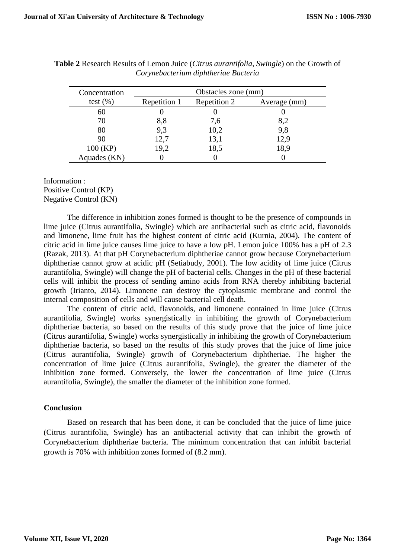| Concentration | Obstacles zone (mm) |              |              |
|---------------|---------------------|--------------|--------------|
| test $(\%)$   | Repetition 1        | Repetition 2 | Average (mm) |
| 60            |                     |              |              |
| 70            | 8,8                 | 7,6          | 8,2          |
| 80            | 9,3                 | 10,2         | 9,8          |
| 90            | 12,7                | 13,1         | 12,9         |
| 100 (KP)      | 19,2                | 18,5         | 18,9         |
| Aquades (KN)  |                     |              |              |

**Table 2** Research Results of Lemon Juice (*Citrus aurantifolia, Swingle*) on the Growth of *Corynebacterium diphtheriae Bacteria*

## Information : Positive Control (KP) Negative Control (KN)

The difference in inhibition zones formed is thought to be the presence of compounds in lime juice (Citrus aurantifolia, Swingle) which are antibacterial such as citric acid, flavonoids and limonene, lime fruit has the highest content of citric acid (Kurnia, 2004). The content of citric acid in lime juice causes lime juice to have a low pH. Lemon juice 100% has a pH of 2.3 (Razak, 2013). At that pH Corynebacterium diphtheriae cannot grow because Corynebacterium diphtheriae cannot grow at acidic pH (Setiabudy, 2001). The low acidity of lime juice (Citrus aurantifolia, Swingle) will change the pH of bacterial cells. Changes in the pH of these bacterial cells will inhibit the process of sending amino acids from RNA thereby inhibiting bacterial growth (Irianto, 2014). Limonene can destroy the cytoplasmic membrane and control the internal composition of cells and will cause bacterial cell death.

The content of citric acid, flavonoids, and limonene contained in lime juice (Citrus aurantifolia, Swingle) works synergistically in inhibiting the growth of Corynebacterium diphtheriae bacteria, so based on the results of this study prove that the juice of lime juice (Citrus aurantifolia, Swingle) works synergistically in inhibiting the growth of Corynebacterium diphtheriae bacteria, so based on the results of this study proves that the juice of lime juice (Citrus aurantifolia, Swingle) growth of Corynebacterium diphtheriae. The higher the concentration of lime juice (Citrus aurantifolia, Swingle), the greater the diameter of the inhibition zone formed. Conversely, the lower the concentration of lime juice (Citrus aurantifolia, Swingle), the smaller the diameter of the inhibition zone formed.

## **Conclusion**

Based on research that has been done, it can be concluded that the juice of lime juice (Citrus aurantifolia, Swingle) has an antibacterial activity that can inhibit the growth of Corynebacterium diphtheriae bacteria. The minimum concentration that can inhibit bacterial growth is 70% with inhibition zones formed of (8.2 mm).